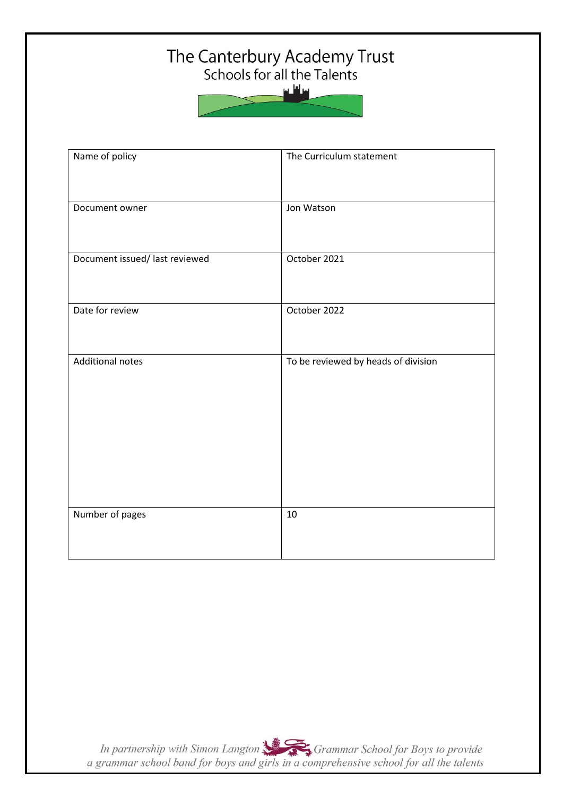# The Canterbury Academy Trust<br>Schools for all the Talents

سافلس



| Name of policy                 | The Curriculum statement            |
|--------------------------------|-------------------------------------|
| Document owner                 | Jon Watson                          |
| Document issued/ last reviewed | October 2021                        |
| Date for review                | October 2022                        |
| <b>Additional notes</b>        | To be reviewed by heads of division |
| Number of pages                | 10                                  |

In partnership with Simon Langton Sexting Grammar School for Boys to provide<br>a grammar school band for boys and girls in a comprehensive school for all the talents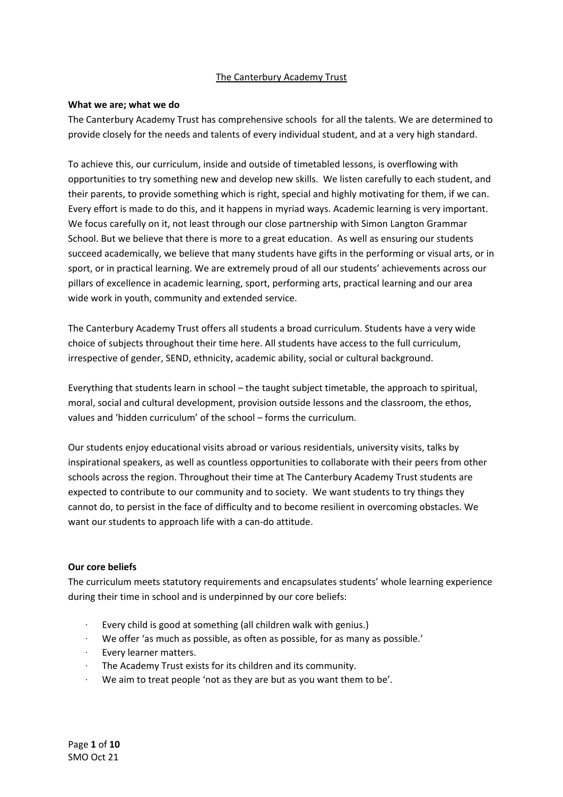# The Canterbury Academy Trust

#### **What we are; what we do**

The Canterbury Academy Trust has comprehensive schools for all the talents. We are determined to provide closely for the needs and talents of every individual student, and at a very high standard.

To achieve this, our curriculum, inside and outside of timetabled lessons, is overflowing with opportunities to try something new and develop new skills. We listen carefully to each student, and their parents, to provide something which is right, special and highly motivating for them, if we can. Every effort is made to do this, and it happens in myriad ways. Academic learning is very important. We focus carefully on it, not least through our close partnership with Simon Langton Grammar School. But we believe that there is more to a great education. As well as ensuring our students succeed academically, we believe that many students have gifts in the performing or visual arts, or in sport, or in practical learning. We are extremely proud of all our students' achievements across our pillars of excellence in academic learning, sport, performing arts, practical learning and our area wide work in youth, community and extended service.

The Canterbury Academy Trust offers all students a broad curriculum. Students have a very wide choice of subjects throughout their time here. All students have access to the full curriculum, irrespective of gender, SEND, ethnicity, academic ability, social or cultural background.

Everything that students learn in school – the taught subject timetable, the approach to spiritual, moral, social and cultural development, provision outside lessons and the classroom, the ethos, values and 'hidden curriculum' of the school – forms the curriculum.

Our students enjoy educational visits abroad or various residentials, university visits, talks by inspirational speakers, as well as countless opportunities to collaborate with their peers from other schools across the region. Throughout their time at The Canterbury Academy Trust students are expected to contribute to our community and to society. We want students to try things they cannot do, to persist in the face of difficulty and to become resilient in overcoming obstacles. We want our students to approach life with a can-do attitude.

### **Our core beliefs**

The curriculum meets statutory requirements and encapsulates students' whole learning experience during their time in school and is underpinned by our core beliefs:

- Every child is good at something (all children walk with genius.)
- We offer 'as much as possible, as often as possible, for as many as possible.'
- Every learner matters.
- · The Academy Trust exists for its children and its community.
- We aim to treat people 'not as they are but as you want them to be'.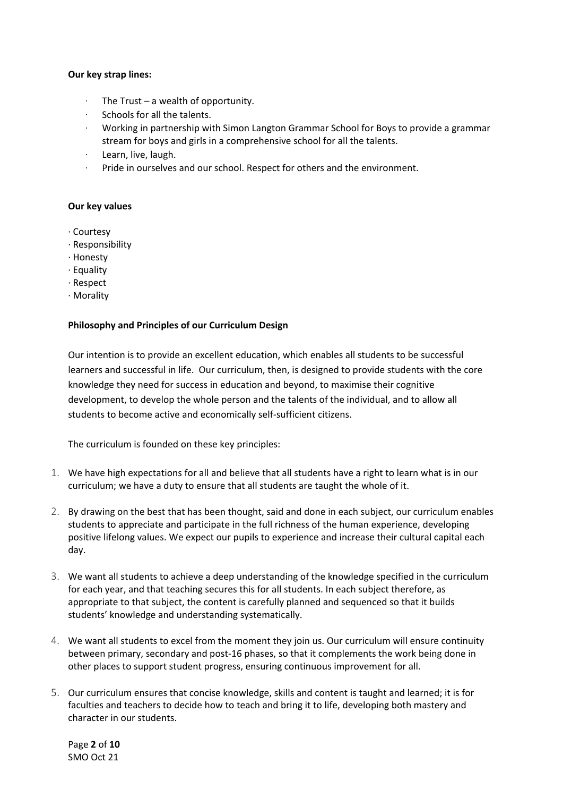#### **Our key strap lines:**

- The Trust  $-$  a wealth of opportunity.
- · Schools for all the talents.
- · Working in partnership with Simon Langton Grammar School for Boys to provide a grammar stream for boys and girls in a comprehensive school for all the talents.
- · Learn, live, laugh.
- Pride in ourselves and our school. Respect for others and the environment.

#### **Our key values**

- · Courtesy
- · Responsibility
- · Honesty
- · Equality
- · Respect
- · Morality

#### **Philosophy and Principles of our Curriculum Design**

Our intention is to provide an excellent education, which enables all students to be successful learners and successful in life. Our curriculum, then, is designed to provide students with the core knowledge they need for success in education and beyond, to maximise their cognitive development, to develop the whole person and the talents of the individual, and to allow all students to become active and economically self-sufficient citizens.

The curriculum is founded on these key principles:

- 1. We have high expectations for all and believe that all students have a right to learn what is in our curriculum; we have a duty to ensure that all students are taught the whole of it.
- 2. By drawing on the best that has been thought, said and done in each subject, our curriculum enables students to appreciate and participate in the full richness of the human experience, developing positive lifelong values. We expect our pupils to experience and increase their cultural capital each day.
- 3. We want all students to achieve a deep understanding of the knowledge specified in the curriculum for each year, and that teaching secures this for all students. In each subject therefore, as appropriate to that subject, the content is carefully planned and sequenced so that it builds students' knowledge and understanding systematically.
- 4. We want all students to excel from the moment they join us. Our curriculum will ensure continuity between primary, secondary and post-16 phases, so that it complements the work being done in other places to support student progress, ensuring continuous improvement for all.
- 5. Our curriculum ensures that concise knowledge, skills and content is taught and learned; it is for faculties and teachers to decide how to teach and bring it to life, developing both mastery and character in our students.

Page **2** of **10** SMO Oct 21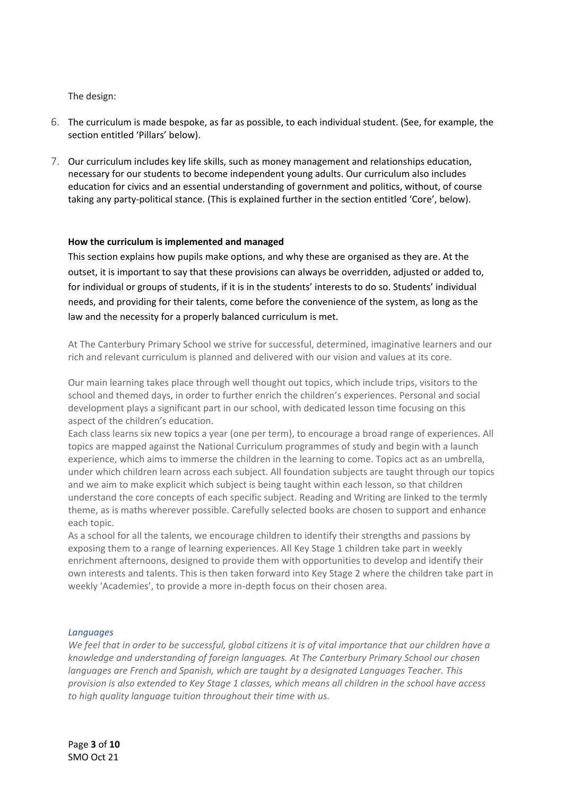The design:

- 6. The curriculum is made bespoke, as far as possible, to each individual student. (See, for example, the section entitled 'Pillars' below).
- 7. Our curriculum includes key life skills, such as money management and relationships education, necessary for our students to become independent young adults. Our curriculum also includes education for civics and an essential understanding of government and politics, without, of course taking any party-political stance. (This is explained further in the section entitled 'Core', below).

## **How the curriculum is implemented and managed**

This section explains how pupils make options, and why these are organised as they are. At the outset, it is important to say that these provisions can always be overridden, adjusted or added to, for individual or groups of students, if it is in the students' interests to do so. Students' individual needs, and providing for their talents, come before the convenience of the system, as long as the law and the necessity for a properly balanced curriculum is met.

At The Canterbury Primary School we strive for successful, determined, imaginative learners and our rich and relevant curriculum is planned and delivered with our vision and values at its core.

Our main learning takes place through well thought out topics, which include trips, visitors to the school and themed days, in order to further enrich the children's experiences. Personal and social development plays a significant part in our school, with dedicated lesson time focusing on this aspect of the children's education.

Each class learns six new topics a year (one per term), to encourage a broad range of experiences. All topics are mapped against the National Curriculum programmes of study and begin with a launch experience, which aims to immerse the children in the learning to come. Topics act as an umbrella, under which children learn across each subject. All foundation subjects are taught through our topics and we aim to make explicit which subject is being taught within each lesson, so that children understand the core concepts of each specific subject. Reading and Writing are linked to the termly theme, as is maths wherever possible. Carefully selected books are chosen to support and enhance each topic.

As a school for all the talents, we encourage children to identify their strengths and passions by exposing them to a range of learning experiences. All Key Stage 1 children take part in weekly enrichment afternoons, designed to provide them with opportunities to develop and identify their own interests and talents. This is then taken forward into Key Stage 2 where the children take part in weekly 'Academies', to provide a more in-depth focus on their chosen area.

#### *Languages*

*We feel that in order to be successful, global citizens it is of vital importance that our children have a knowledge and understanding of foreign languages. At The Canterbury Primary School our chosen languages are French and Spanish, which are taught by a designated Languages Teacher. This provision is also extended to Key Stage 1 classes, which means all children in the school have access to high quality language tuition throughout their time with us.*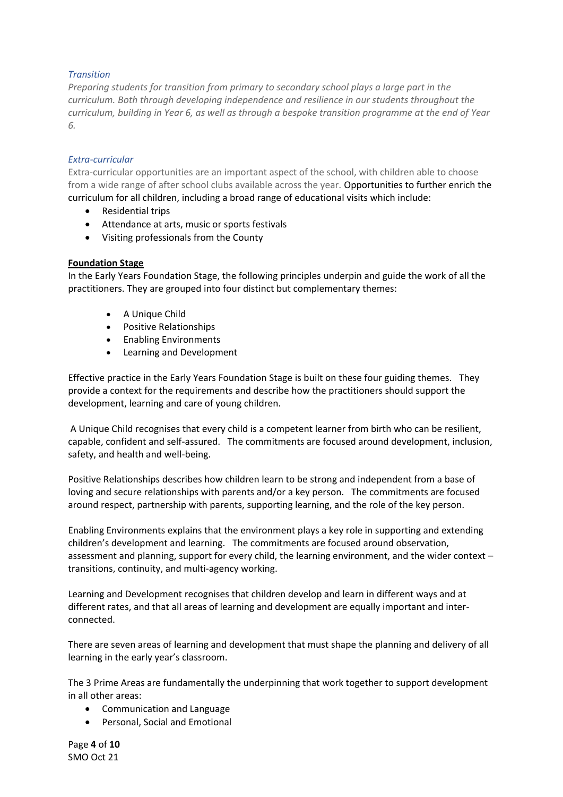## *Transition*

*Preparing students for transition from primary to secondary school plays a large part in the curriculum. Both through developing independence and resilience in our students throughout the curriculum, building in Year 6, as well as through a bespoke transition programme at the end of Year 6.*

### *Extra-curricular*

Extra-curricular opportunities are an important aspect of the school, with children able to choose from a wide range of after school clubs available across the year. Opportunities to further enrich the curriculum for all children, including a broad range of educational visits which include:

- Residential trips
- Attendance at arts, music or sports festivals
- Visiting professionals from the County

## **Foundation Stage**

In the Early Years Foundation Stage, the following principles underpin and guide the work of all the practitioners. They are grouped into four distinct but complementary themes:

- A Unique Child
- Positive Relationships
- Enabling Environments
- Learning and Development

Effective practice in the Early Years Foundation Stage is built on these four guiding themes. They provide a context for the requirements and describe how the practitioners should support the development, learning and care of young children.

A Unique Child recognises that every child is a competent learner from birth who can be resilient, capable, confident and self-assured. The commitments are focused around development, inclusion, safety, and health and well-being.

Positive Relationships describes how children learn to be strong and independent from a base of loving and secure relationships with parents and/or a key person. The commitments are focused around respect, partnership with parents, supporting learning, and the role of the key person.

Enabling Environments explains that the environment plays a key role in supporting and extending children's development and learning. The commitments are focused around observation, assessment and planning, support for every child, the learning environment, and the wider context – transitions, continuity, and multi-agency working.

Learning and Development recognises that children develop and learn in different ways and at different rates, and that all areas of learning and development are equally important and interconnected.

There are seven areas of learning and development that must shape the planning and delivery of all learning in the early year's classroom.

The 3 Prime Areas are fundamentally the underpinning that work together to support development in all other areas:

- Communication and Language
- Personal, Social and Emotional

Page **4** of **10** SMO Oct 21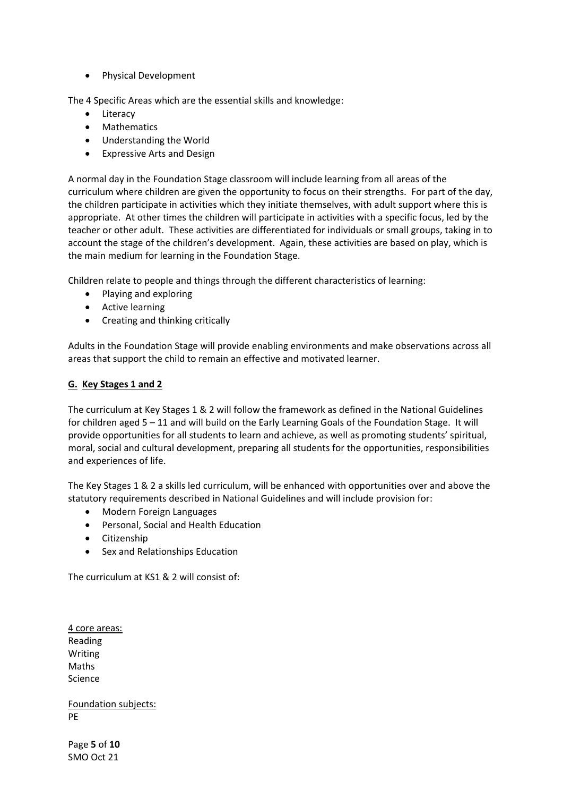• Physical Development

The 4 Specific Areas which are the essential skills and knowledge:

- Literacy
- Mathematics
- Understanding the World
- Expressive Arts and Design

A normal day in the Foundation Stage classroom will include learning from all areas of the curriculum where children are given the opportunity to focus on their strengths. For part of the day, the children participate in activities which they initiate themselves, with adult support where this is appropriate. At other times the children will participate in activities with a specific focus, led by the teacher or other adult. These activities are differentiated for individuals or small groups, taking in to account the stage of the children's development. Again, these activities are based on play, which is the main medium for learning in the Foundation Stage.

Children relate to people and things through the different characteristics of learning:

- Playing and exploring
- Active learning
- Creating and thinking critically

Adults in the Foundation Stage will provide enabling environments and make observations across all areas that support the child to remain an effective and motivated learner.

# **G. Key Stages 1 and 2**

The curriculum at Key Stages 1 & 2 will follow the framework as defined in the National Guidelines for children aged 5 – 11 and will build on the Early Learning Goals of the Foundation Stage. It will provide opportunities for all students to learn and achieve, as well as promoting students' spiritual, moral, social and cultural development, preparing all students for the opportunities, responsibilities and experiences of life.

The Key Stages 1 & 2 a skills led curriculum, will be enhanced with opportunities over and above the statutory requirements described in National Guidelines and will include provision for:

- Modern Foreign Languages
- Personal, Social and Health Education
- Citizenship
- Sex and Relationships Education

The curriculum at KS1 & 2 will consist of:

4 core areas: Reading Writing Maths Science

Foundation subjects: PE

Page **5** of **10** SMO Oct 21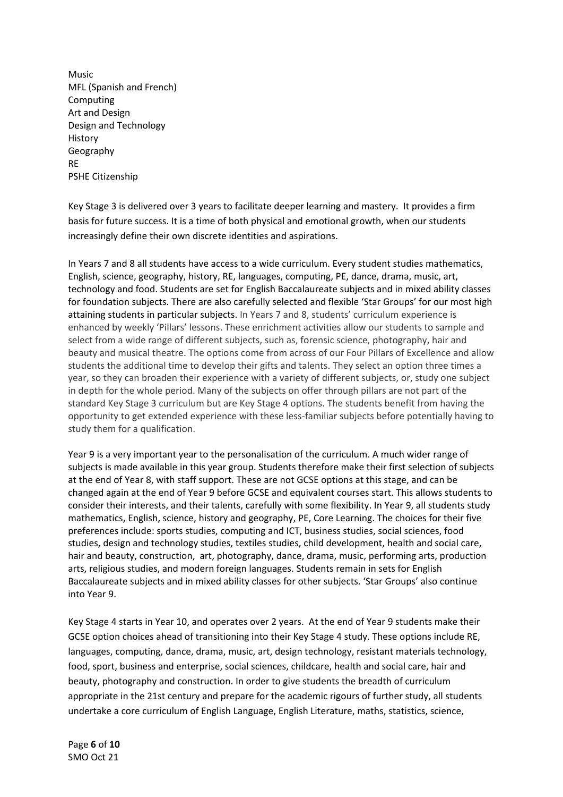Music MFL (Spanish and French) Computing Art and Design Design and Technology History Geography RE PSHE Citizenship

Key Stage 3 is delivered over 3 years to facilitate deeper learning and mastery. It provides a firm basis for future success. It is a time of both physical and emotional growth, when our students increasingly define their own discrete identities and aspirations.

In Years 7 and 8 all students have access to a wide curriculum. Every student studies mathematics, English, science, geography, history, RE, languages, computing, PE, dance, drama, music, art, technology and food. Students are set for English Baccalaureate subjects and in mixed ability classes for foundation subjects. There are also carefully selected and flexible 'Star Groups' for our most high attaining students in particular subjects. In Years 7 and 8, students' curriculum experience is enhanced by weekly 'Pillars' lessons. These enrichment activities allow our students to sample and select from a wide range of different subjects, such as, forensic science, photography, hair and beauty and musical theatre. The options come from across of our Four Pillars of Excellence and allow students the additional time to develop their gifts and talents. They select an option three times a year, so they can broaden their experience with a variety of different subjects, or, study one subject in depth for the whole period. Many of the subjects on offer through pillars are not part of the standard Key Stage 3 curriculum but are Key Stage 4 options. The students benefit from having the opportunity to get extended experience with these less-familiar subjects before potentially having to study them for a qualification.

Year 9 is a very important year to the personalisation of the curriculum. A much wider range of subjects is made available in this year group. Students therefore make their first selection of subjects at the end of Year 8, with staff support. These are not GCSE options at this stage, and can be changed again at the end of Year 9 before GCSE and equivalent courses start. This allows students to consider their interests, and their talents, carefully with some flexibility. In Year 9, all students study mathematics, English, science, history and geography, PE, Core Learning. The choices for their five preferences include: sports studies, computing and ICT, business studies, social sciences, food studies, design and technology studies, textiles studies, child development, health and social care, hair and beauty, construction, art, photography, dance, drama, music, performing arts, production arts, religious studies, and modern foreign languages. Students remain in sets for English Baccalaureate subjects and in mixed ability classes for other subjects. 'Star Groups' also continue into Year 9.

Key Stage 4 starts in Year 10, and operates over 2 years. At the end of Year 9 students make their GCSE option choices ahead of transitioning into their Key Stage 4 study. These options include RE, languages, computing, dance, drama, music, art, design technology, resistant materials technology, food, sport, business and enterprise, social sciences, childcare, health and social care, hair and beauty, photography and construction. In order to give students the breadth of curriculum appropriate in the 21st century and prepare for the academic rigours of further study, all students undertake a core curriculum of English Language, English Literature, maths, statistics, science,

Page **6** of **10** SMO Oct 21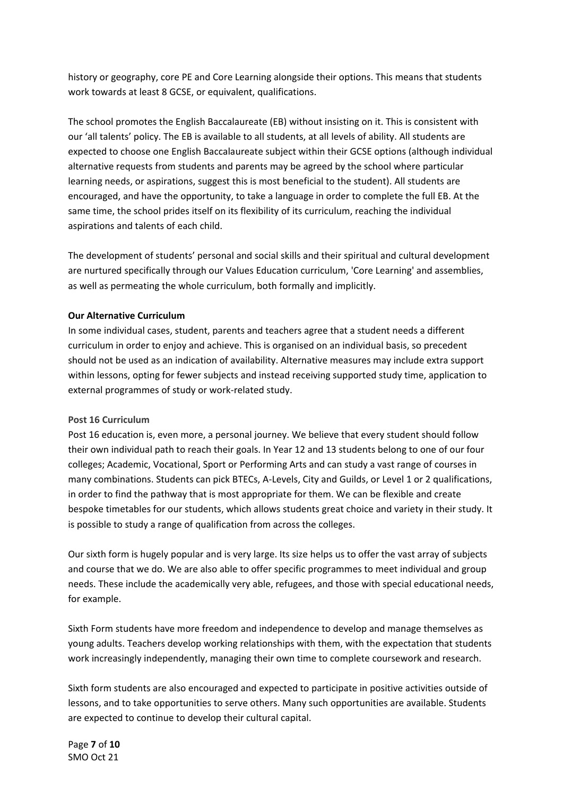history or geography, core PE and Core Learning alongside their options. This means that students work towards at least 8 GCSE, or equivalent, qualifications.

The school promotes the English Baccalaureate (EB) without insisting on it. This is consistent with our 'all talents' policy. The EB is available to all students, at all levels of ability. All students are expected to choose one English Baccalaureate subject within their GCSE options (although individual alternative requests from students and parents may be agreed by the school where particular learning needs, or aspirations, suggest this is most beneficial to the student). All students are encouraged, and have the opportunity, to take a language in order to complete the full EB. At the same time, the school prides itself on its flexibility of its curriculum, reaching the individual aspirations and talents of each child.

The development of students' personal and social skills and their spiritual and cultural development are nurtured specifically through our Values Education curriculum, 'Core Learning' and assemblies, as well as permeating the whole curriculum, both formally and implicitly.

#### **Our Alternative Curriculum**

In some individual cases, student, parents and teachers agree that a student needs a different curriculum in order to enjoy and achieve. This is organised on an individual basis, so precedent should not be used as an indication of availability. Alternative measures may include extra support within lessons, opting for fewer subjects and instead receiving supported study time, application to external programmes of study or work-related study.

#### **Post 16 Curriculum**

Post 16 education is, even more, a personal journey. We believe that every student should follow their own individual path to reach their goals. In Year 12 and 13 students belong to one of our four colleges; Academic, Vocational, Sport or Performing Arts and can study a vast range of courses in many combinations. Students can pick BTECs, A-Levels, City and Guilds, or Level 1 or 2 qualifications, in order to find the pathway that is most appropriate for them. We can be flexible and create bespoke timetables for our students, which allows students great choice and variety in their study. It is possible to study a range of qualification from across the colleges.

Our sixth form is hugely popular and is very large. Its size helps us to offer the vast array of subjects and course that we do. We are also able to offer specific programmes to meet individual and group needs. These include the academically very able, refugees, and those with special educational needs, for example.

Sixth Form students have more freedom and independence to develop and manage themselves as young adults. Teachers develop working relationships with them, with the expectation that students work increasingly independently, managing their own time to complete coursework and research.

Sixth form students are also encouraged and expected to participate in positive activities outside of lessons, and to take opportunities to serve others. Many such opportunities are available. Students are expected to continue to develop their cultural capital.

Page **7** of **10** SMO Oct 21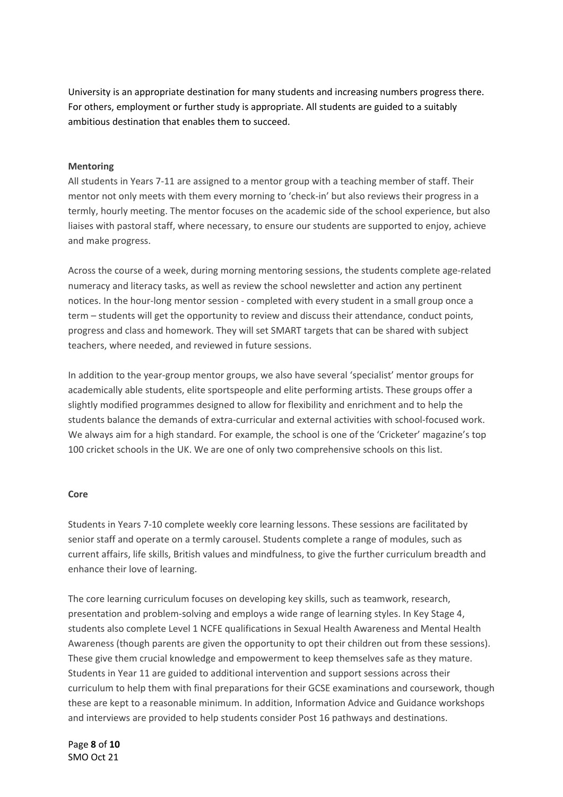University is an appropriate destination for many students and increasing numbers progress there. For others, employment or further study is appropriate. All students are guided to a suitably ambitious destination that enables them to succeed.

### **Mentoring**

All students in Years 7-11 are assigned to a mentor group with a teaching member of staff. Their mentor not only meets with them every morning to 'check-in' but also reviews their progress in a termly, hourly meeting. The mentor focuses on the academic side of the school experience, but also liaises with pastoral staff, where necessary, to ensure our students are supported to enjoy, achieve and make progress.

Across the course of a week, during morning mentoring sessions, the students complete age-related numeracy and literacy tasks, as well as review the school newsletter and action any pertinent notices. In the hour-long mentor session - completed with every student in a small group once a term – students will get the opportunity to review and discuss their attendance, conduct points, progress and class and homework. They will set SMART targets that can be shared with subject teachers, where needed, and reviewed in future sessions.

In addition to the year-group mentor groups, we also have several 'specialist' mentor groups for academically able students, elite sportspeople and elite performing artists. These groups offer a slightly modified programmes designed to allow for flexibility and enrichment and to help the students balance the demands of extra-curricular and external activities with school-focused work. We always aim for a high standard. For example, the school is one of the 'Cricketer' magazine's top 100 cricket schools in the UK. We are one of only two comprehensive schools on this list.

#### **Core**

Students in Years 7-10 complete weekly core learning lessons. These sessions are facilitated by senior staff and operate on a termly carousel. Students complete a range of modules, such as current affairs, life skills, British values and mindfulness, to give the further curriculum breadth and enhance their love of learning.

The core learning curriculum focuses on developing key skills, such as teamwork, research, presentation and problem-solving and employs a wide range of learning styles. In Key Stage 4, students also complete Level 1 NCFE qualifications in Sexual Health Awareness and Mental Health Awareness (though parents are given the opportunity to opt their children out from these sessions). These give them crucial knowledge and empowerment to keep themselves safe as they mature. Students in Year 11 are guided to additional intervention and support sessions across their curriculum to help them with final preparations for their GCSE examinations and coursework, though these are kept to a reasonable minimum. In addition, Information Advice and Guidance workshops and interviews are provided to help students consider Post 16 pathways and destinations.

Page **8** of **10** SMO Oct 21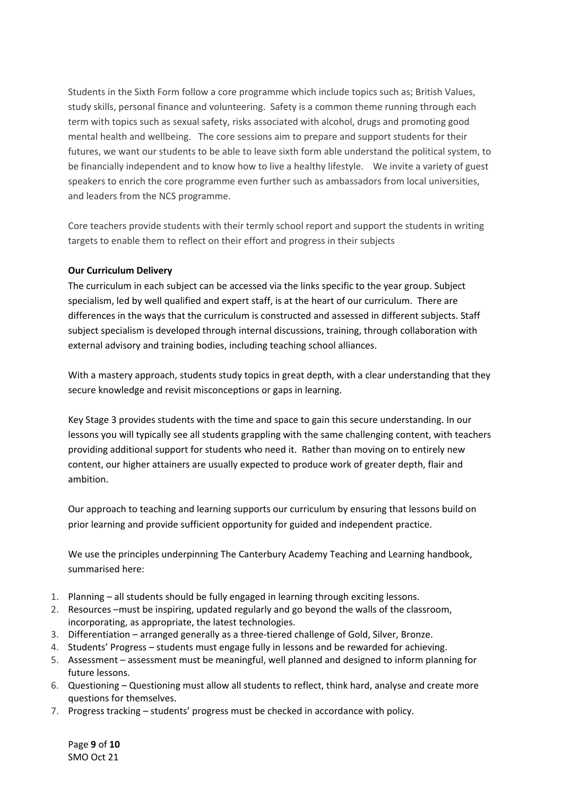Students in the Sixth Form follow a core programme which include topics such as; British Values, study skills, personal finance and volunteering. Safety is a common theme running through each term with topics such as sexual safety, risks associated with alcohol, drugs and promoting good mental health and wellbeing. The core sessions aim to prepare and support students for their futures, we want our students to be able to leave sixth form able understand the political system, to be financially independent and to know how to live a healthy lifestyle. We invite a variety of guest speakers to enrich the core programme even further such as ambassadors from local universities, and leaders from the NCS programme.

Core teachers provide students with their termly school report and support the students in writing targets to enable them to reflect on their effort and progress in their subjects

# **Our Curriculum Delivery**

The curriculum in each subject can be accessed via the links specific to the year group. Subject specialism, led by well qualified and expert staff, is at the heart of our curriculum. There are differences in the ways that the curriculum is constructed and assessed in different subjects. Staff subject specialism is developed through internal discussions, training, through collaboration with external advisory and training bodies, including teaching school alliances.

With a mastery approach, students study topics in great depth, with a clear understanding that they secure knowledge and revisit misconceptions or gaps in learning.

Key Stage 3 provides students with the time and space to gain this secure understanding. In our lessons you will typically see all students grappling with the same challenging content, with teachers providing additional support for students who need it. Rather than moving on to entirely new content, our higher attainers are usually expected to produce work of greater depth, flair and ambition.

Our approach to teaching and learning supports our curriculum by ensuring that lessons build on prior learning and provide sufficient opportunity for guided and independent practice.

We use the principles underpinning The Canterbury Academy Teaching and Learning handbook, summarised here:

- 1. Planning all students should be fully engaged in learning through exciting lessons.
- 2. Resources –must be inspiring, updated regularly and go beyond the walls of the classroom, incorporating, as appropriate, the latest technologies.
- 3. Differentiation arranged generally as a three-tiered challenge of Gold, Silver, Bronze.
- 4. Students' Progress students must engage fully in lessons and be rewarded for achieving.
- 5. Assessment assessment must be meaningful, well planned and designed to inform planning for future lessons.
- 6. Questioning Questioning must allow all students to reflect, think hard, analyse and create more questions for themselves.
- 7. Progress tracking students' progress must be checked in accordance with policy.

Page **9** of **10** SMO Oct 21